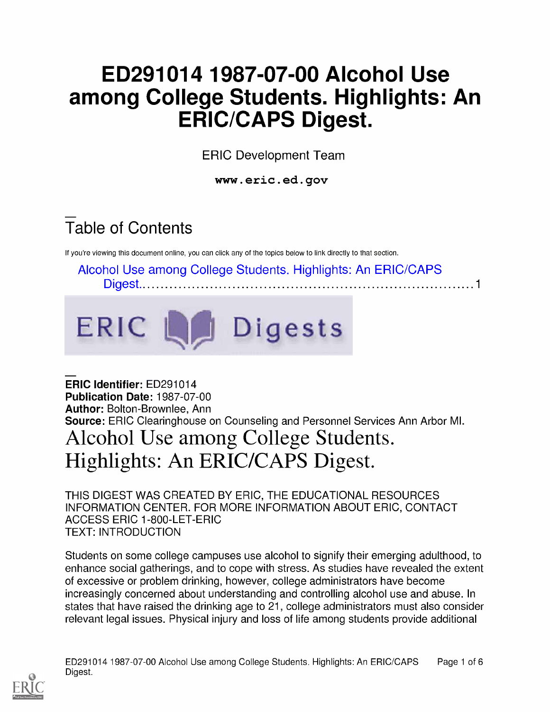# ED291014 1987-07-00 Alcohol Use among College Students. Highlights: An ERIC/CAPS Digest.

ERIC Development Team

www.eric.ed.gov

# Table of Contents

If you're viewing this document online, you can click any of the topics below to link directly to that section.

Alcohol Use among College Students. Highlights: An ERIC/CAPS Digest. <sup>1</sup>



ERIC Identifier: ED291014 Publication Date: 1987-07-00 Author: Bolton-Brownlee, Ann Source: ERIC Clearinghouse on Counseling and Personnel Services Ann Arbor MI. Alcohol Use among College Students. Highlights: An ERIC/CAPS Digest.

THIS DIGEST WAS CREATED BY ERIC, THE EDUCATIONAL RESOURCES INFORMATION CENTER. FOR MORE INFORMATION ABOUT ERIC, CONTACT ACCESS ERIC 1-800-LET-ERIC TEXT: INTRODUCTION

Students on some college campuses use alcohol to signify their emerging adulthood, to enhance social gatherings, and to cope with stress. As studies have revealed the extent of excessive or problem drinking, however, college administrators have become increasingly concerned about understanding and controlling alcohol use and abuse. In states that have raised the drinking age to 21, college administrators must also consider relevant legal issues. Physical injury and loss of life among students provide additional

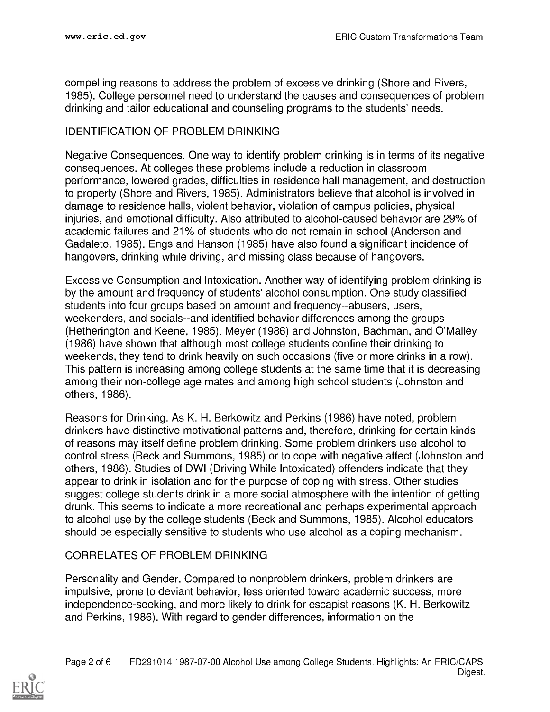compelling reasons to address the problem of excessive drinking (Shore and Rivers, 1985). College personnel need to understand the causes and consequences of problem drinking and tailor educational and counseling programs to the students' needs.

### IDENTIFICATION OF PROBLEM DRINKING

Negative Consequences. One way to identify problem drinking is in terms of its negative consequences. At colleges these problems include a reduction in classroom performance, lowered grades, difficulties in residence hall management, and destruction to property (Shore and Rivers, 1985). Administrators believe that alcohol is involved in damage to residence halls, violent behavior, violation of campus policies, physical injuries, and emotional difficulty. Also attributed to alcohol-caused behavior are 29% of academic failures and 21% of students who do not remain in school (Anderson and Gadaleto, 1985). Engs and Hanson (1985) have also found a significant incidence of hangovers, drinking while driving, and missing class because of hangovers.

Excessive Consumption and Intoxication. Another way of identifying problem drinking is by the amount and frequency of students' alcohol consumption. One study classified students into four groups based on amount and frequency--abusers, users, weekenders, and socials--and identified behavior differences among the groups (Hetherington and Keene, 1985). Meyer (1986) and Johnston, Bachman, and O'Malley (1986) have shown that although most college students confine their drinking to weekends, they tend to drink heavily on such occasions (five or more drinks in a row). This pattern is increasing among college students at the same time that it is decreasing among their non-college age mates and among high school students (Johnston and others, 1986).

Reasons for Drinking. As K. H. Berkowitz and Perkins (1986) have noted, problem drinkers have distinctive motivational patterns and, therefore, drinking for certain kinds of reasons may itself define problem drinking. Some problem drinkers use alcohol to control stress (Beck and Summons, 1985) or to cope with negative affect (Johnston and others, 1986). Studies of DWI (Driving While Intoxicated) offenders indicate that they appear to drink in isolation and for the purpose of coping with stress. Other studies suggest college students drink in a more social atmosphere with the intention of getting drunk. This seems to indicate a more recreational and perhaps experimental approach to alcohol use by the college students (Beck and Summons, 1985). Alcohol educators should be especially sensitive to students who use alcohol as a coping mechanism.

## CORRELATES OF PROBLEM DRINKING

Personality and Gender. Compared to nonproblem drinkers, problem drinkers are impulsive, prone to deviant behavior, less oriented toward academic success, more independence-seeking, and more likely to drink for escapist reasons (K. H. Berkowitz and Perkins, 1986). With regard to gender differences, information on the

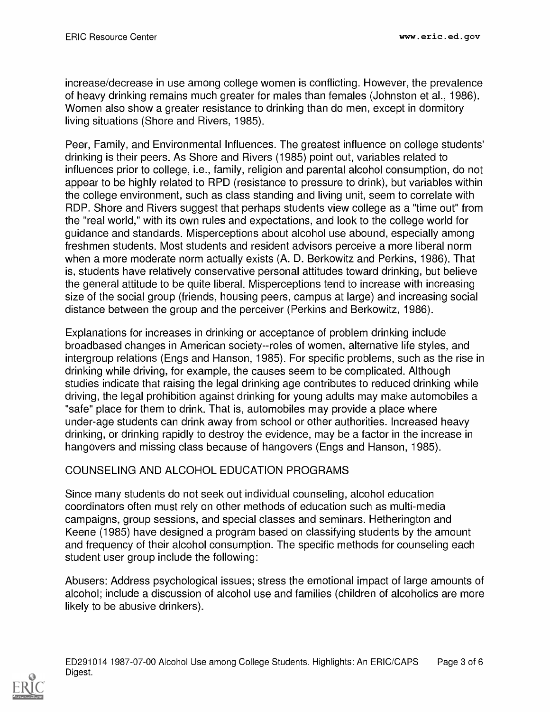increase/decrease in use among college women is conflicting. However, the prevalence of heavy drinking remains much greater for males than females (Johnston et al., 1986). Women also show a greater resistance to drinking than do men, except in dormitory living situations (Shore and Rivers, 1985).

Peer, Family, and Environmental Influences. The greatest influence on college students' drinking is their peers. As Shore and Rivers (1985) point out, variables related to influences prior to college, i.e., family, religion and parental alcohol consumption, do not appear to be highly related to RPD (resistance to pressure to drink), but variables within the college environment, such as class standing and living unit, seem to correlate with RDP. Shore and Rivers suggest that perhaps students view college as a "time out" from the "real world," with its own rules and expectations, and look to the college world for guidance and standards. Misperceptions about alcohol use abound, especially among freshmen students. Most students and resident advisors perceive a more liberal norm when a more moderate norm actually exists (A. D. Berkowitz and Perkins, 1986). That is, students have relatively conservative personal attitudes toward drinking, but believe the general attitude to be quite liberal. Misperceptions tend to increase with increasing size of the social group (friends, housing peers, campus at large) and increasing social distance between the group and the perceiver (Perkins and Berkowitz, 1986).

Explanations for increases in drinking or acceptance of problem drinking include broadbased changes in American society--roles of women, alternative life styles, and intergroup relations (Engs and Hanson, 1985). For specific problems, such as the rise in drinking while driving, for example, the causes seem to be complicated. Although studies indicate that raising the legal drinking age contributes to reduced drinking while driving, the legal prohibition against drinking for young adults may make automobiles a "safe" place for them to drink. That is, automobiles may provide a place where under-age students can drink away from school or other authorities. Increased heavy drinking, or drinking rapidly to destroy the evidence, may be a factor in the increase in hangovers and missing class because of hangovers (Engs and Hanson, 1985).

## COUNSELING AND ALCOHOL EDUCATION PROGRAMS

Since many students do not seek out individual counseling, alcohol education coordinators often must rely on other methods of education such as multi-media campaigns, group sessions, and special classes and seminars. Hetherington and Keene (1985) have designed a program based on classifying students by the amount and frequency of their alcohol consumption. The specific methods for counseling each student user group include the following:

Abusers: Address psychological issues; stress the emotional impact of large amounts of alcohol; include a discussion of alcohol use and families (children of alcoholics are more likely to be abusive drinkers).

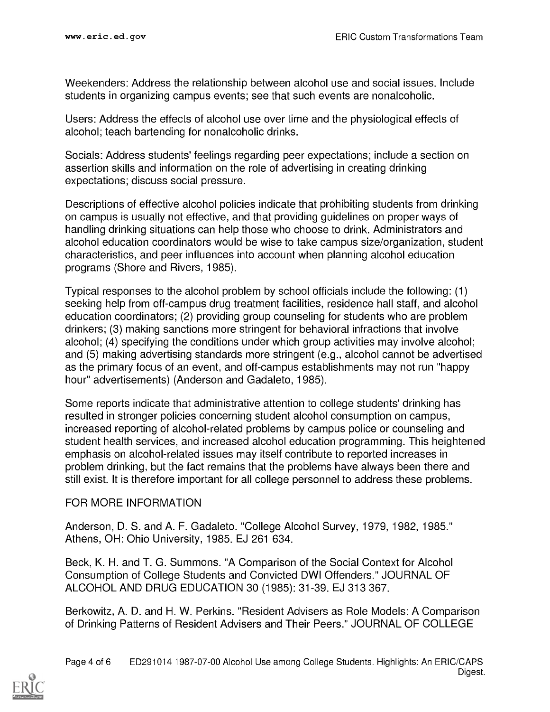Weekenders: Address the relationship between alcohol use and social issues. Include students in organizing campus events; see that such events are nonalcoholic.

Users: Address the effects of alcohol use over time and the physiological effects of alcohol; teach bartending for nonalcoholic drinks.

Socials: Address students' feelings regarding peer expectations; include a section on assertion skills and information on the role of advertising in creating drinking expectations; discuss social pressure.

Descriptions of effective alcohol policies indicate that prohibiting students from drinking on campus is usually not effective, and that providing guidelines on proper ways of handling drinking situations can help those who choose to drink. Administrators and alcohol education coordinators would be wise to take campus size/organization, student characteristics, and peer influences into account when planning alcohol education programs (Shore and Rivers, 1985).

Typical responses to the alcohol problem by school officials include the following: (1) seeking help from off-campus drug treatment facilities, residence hall staff, and alcohol education coordinators; (2) providing group counseling for students who are problem drinkers; (3) making sanctions more stringent for behavioral infractions that involve alcohol; (4) specifying the conditions under which group activities may involve alcohol; and (5) making advertising standards more stringent (e.g., alcohol cannot be advertised as the primary focus of an event, and off-campus establishments may not run "happy hour" advertisements) (Anderson and Gadaleto, 1985).

Some reports indicate that administrative attention to college students' drinking has resulted in stronger policies concerning student alcohol consumption on campus, increased reporting of alcohol-related problems by campus police or counseling and student health services, and increased alcohol education programming. This heightened emphasis on alcohol-related issues may itself contribute to reported increases in problem drinking, but the fact remains that the problems have always been there and still exist. It is therefore important for all college personnel to address these problems.

#### FOR MORE INFORMATION

Anderson, D. S. and A. F. Gadaleto. "College Alcohol Survey, 1979, 1982, 1985." Athens, OH: Ohio University, 1985. EJ 261 634.

Beck, K. H. and T. G. Summons. "A Comparison of the Social Context for Alcohol Consumption of College Students and Convicted DWI Offenders." JOURNAL OF ALCOHOL AND DRUG EDUCATION 30 (1985): 31-39. EJ 313 367.

Berkowitz, A. D. and H. W. Perkins. "Resident Advisers as Role Models: A Comparison of Drinking Patterns of Resident Advisers and Their Peers." JOURNAL OF COLLEGE

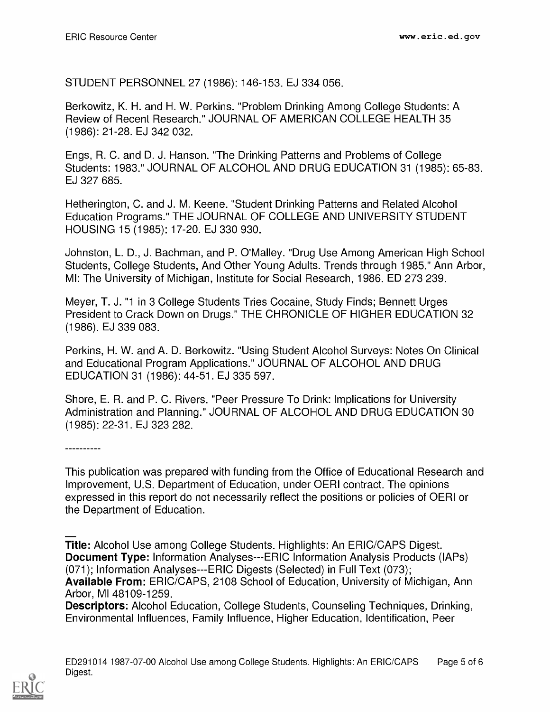STUDENT PERSONNEL 27 (1986): 146-153. EJ 334 056.

Berkowitz, K. H. and H. W. Perkins. "Problem Drinking Among College Students: A Review of Recent Research." JOURNAL OF AMERICAN COLLEGE HEALTH 35 (1986): 21-28. EJ 342 032.

Engs, R. C. and D. J. Hanson. "The Drinking Patterns and Problems of College Students: 1983." JOURNAL OF ALCOHOL AND DRUG EDUCATION 31 (1985): 65-83. EJ 327 685.

Hetherington, C. and J. M. Keene. "Student Drinking Patterns and Related Alcohol Education Programs." THE JOURNAL OF COLLEGE AND UNIVERSITY STUDENT HOUSING 15 (1985): 17-20. EJ 330 930.

Johnston, L. D., J. Bachman, and P. O'Malley. "Drug Use Among American High School Students, College Students, And Other Young Adults. Trends through 1985." Ann Arbor, MI: The University of Michigan, Institute for Social Research, 1986. ED 273 239.

Meyer, T. J. "1 in 3 College Students Tries Cocaine, Study Finds; Bennett Urges President to Crack Down on Drugs." THE CHRONICLE OF HIGHER EDUCATION 32 (1986). EJ 339 083.

Perkins, H. W. and A. D. Berkowitz. "Using Student Alcohol Surveys: Notes On Clinical and Educational Program Applications." JOURNAL OF ALCOHOL AND DRUG EDUCATION 31 (1986): 44-51. EJ 335 597.

Shore, E. R. and P. C. Rivers. "Peer Pressure To Drink: Implications for University Administration and Planning." JOURNAL OF ALCOHOL AND DRUG EDUCATION 30 (1985): 22-31. EJ 323 282.

-----------

This publication was prepared with funding from the Office of Educational Research and Improvement, U.S. Department of Education, under OERI contract. The opinions expressed in this report do not necessarily reflect the positions or policies of OERI or the Department of Education.

Title: Alcohol Use among College Students. Highlights: An ERIC/CAPS Digest. Document Type: Information Analyses---ERIC Information Analysis Products (IAPs) (071); Information Analyses---ERIC Digests (Selected) in Full Text (073); Available From: ERIC/CAPS, 2108 School of Education, University of Michigan, Ann Arbor, MI 48109-1259.

Descriptors: Alcohol Education, College Students, Counseling Techniques, Drinking, Environmental Influences, Family Influence, Higher Education, Identification, Peer